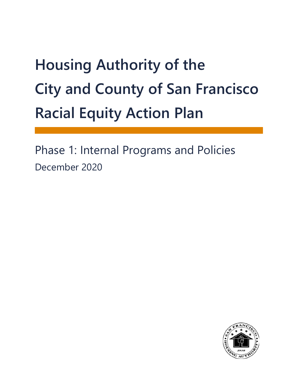# **Housing Authority of the City and County of San Francisco Racial Equity Action Plan**

Phase 1: Internal Programs and Policies December 2020

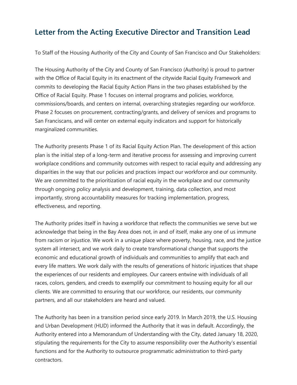#### **Letter from the Acting Executive Director and Transition Lead**

To Staff of the Housing Authority of the City and County of San Francisco and Our Stakeholders:

The Housing Authority of the City and County of San Francisco (Authority) is proud to partner with the Office of Racial Equity in its enactment of the citywide Racial Equity Framework and commits to developing the Racial Equity Action Plans in the two phases established by the Office of Racial Equity. Phase 1 focuses on internal programs and policies, workforce, commissions/boards, and centers on internal, overarching strategies regarding our workforce. Phase 2 focuses on procurement, contracting/grants, and delivery of services and programs to San Franciscans, and will center on external equity indicators and support for historically marginalized communities.

The Authority presents Phase 1 of its Racial Equity Action Plan. The development of this action plan is the initial step of a long-term and iterative process for assessing and improving current workplace conditions and community outcomes with respect to racial equity and addressing any disparities in the way that our policies and practices impact our workforce and our community. We are committed to the prioritization of racial equity in the workplace and our community through ongoing policy analysis and development, training, data collection, and most importantly, strong accountability measures for tracking implementation, progress, effectiveness, and reporting.

The Authority prides itself in having a workforce that reflects the communities we serve but we acknowledge that being in the Bay Area does not, in and of itself, make any one of us immune from racism or injustice. We work in a unique place where poverty, housing, race, and the justice system all intersect, and we work daily to create transformational change that supports the economic and educational growth of individuals and communities to amplify that each and every life matters. We work daily with the results of generations of historic injustices that shape the experiences of our residents and employees. Our careers entwine with individuals of all races, colors, genders, and creeds to exemplify our commitment to housing equity for all our clients. We are committed to ensuring that our workforce, our residents, our community partners, and all our stakeholders are heard and valued.

The Authority has been in a transition period since early 2019. In March 2019, the U.S. Housing and Urban Development (HUD) informed the Authority that it was in default. Accordingly, the Authority entered into a Memorandum of Understanding with the City, dated January 18, 2020, stipulating the requirements for the City to assume responsibility over the Authority's essential functions and for the Authority to outsource programmatic administration to third-party contractors.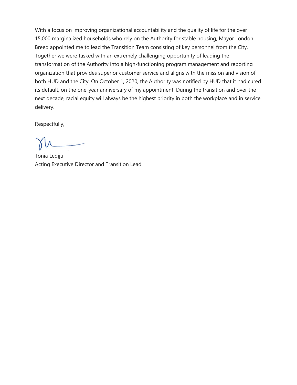With a focus on improving organizational accountability and the quality of life for the over 15,000 marginalized households who rely on the Authority for stable housing, Mayor London Breed appointed me to lead the Transition Team consisting of key personnel from the City. Together we were tasked with an extremely challenging opportunity of leading the transformation of the Authority into a high-functioning program management and reporting organization that provides superior customer service and aligns with the mission and vision of both HUD and the City. On October 1, 2020, the Authority was notified by HUD that it had cured its default, on the one-year anniversary of my appointment. During the transition and over the next decade, racial equity will always be the highest priority in both the workplace and in service delivery.

Respectfully,

Tonia Lediju Acting Executive Director and Transition Lead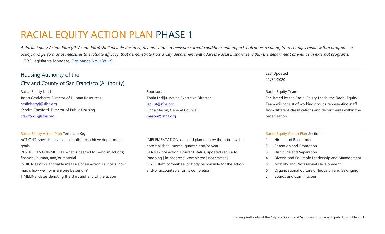## RACIAL EQUITY ACTION PLAN PHASE 1

*A Racial Equity Action Plan (RE Action Plan) shall include Racial Equity indicators to measure current conditions and impact, outcomes resulting from changes made within programs or*  policy, and performance measures to evaluate efficacy, that demonstrate how a City department will address Racial Disparities within the department as well as in external programs. - ORE Legislative Mandate, [Ordinance No. 188-19](https://sfgov.legistar.com/LegislationDetail.aspx?ID=3950582&GUID=9F233DC0-845B-483B-9570-ED75D67A8594)

| Housing Authority of the                                                                                                                                                                                                                                                                                                                      |                                                                                                                                                                                                                                                                                                                            | Last Updated                                                                                                                                                                                                                                                                             |
|-----------------------------------------------------------------------------------------------------------------------------------------------------------------------------------------------------------------------------------------------------------------------------------------------------------------------------------------------|----------------------------------------------------------------------------------------------------------------------------------------------------------------------------------------------------------------------------------------------------------------------------------------------------------------------------|------------------------------------------------------------------------------------------------------------------------------------------------------------------------------------------------------------------------------------------------------------------------------------------|
| City and County of San Francisco (Authority)                                                                                                                                                                                                                                                                                                  |                                                                                                                                                                                                                                                                                                                            | 12/30/2020                                                                                                                                                                                                                                                                               |
| Racial Equity Leads<br>Jason Castleberry, Director of Human Resources<br>castleberryj@sfha.org<br>Kendra Crawford, Director of Public Housing<br>crawfordk@sfha.org                                                                                                                                                                           | Sponsors<br>Tonia Lediju, Acting Executive Director<br>ledijut@sfha.org<br>Linda Mason, General Counsel<br>masonl@sfha.org                                                                                                                                                                                                 | Racial Equity Team<br>Facilitated by the Racial Equity Leads, the Racial Equity<br>Team will consist of working groups representing staff<br>from different classifications and departments within the<br>organization.                                                                  |
| Racial Equity Action Plan Template Key                                                                                                                                                                                                                                                                                                        |                                                                                                                                                                                                                                                                                                                            | <b>Racial Equity Action Plan Sections</b>                                                                                                                                                                                                                                                |
| ACTIONS: specific acts to accomplish to achieve departmental<br>goals<br>RESOURCES COMMITTED: what is needed to perform actions;<br>financial, human, and/or material<br>INDICATORS: quantifiable measure of an action's success; how<br>much, how well, or is anyone better off?<br>TIMELINE: dates denoting the start and end of the action | IMPLEMENTATION: detailed plan on how the action will be<br>accomplished; month, quarter, and/or year<br>STATUS: the action's current status, updated regularly<br>[ongoing   in-progress   completed   not started]<br>LEAD: staff, committee, or body responsible for the action<br>and/or accountable for its completion | Hiring and Recruitment<br>Retention and Promotion<br>3.<br>Discipline and Separation<br>Diverse and Equitable Leadership and Management<br>4.<br>5.<br>Mobility and Professional Development<br>Organizational Culture of Inclusion and Belonging<br>6.<br><b>Boards and Commissions</b> |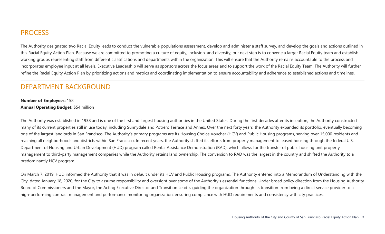### **PROCESS**

The Authority designated two Racial Equity leads to conduct the vulnerable populations assessment, develop and administer a staff survey, and develop the goals and actions outlined in this Racial Equity Action Plan. Because we are committed to promoting a culture of equity, inclusion, and diversity, our next step is to convene a larger Racial Equity team and establish working groups representing staff from different classifications and departments within the organization. This will ensure that the Authority remains accountable to the process and incorporates employee input at all levels. Executive Leadership will serve as sponsors across the focus areas and to support the work of the Racial Equity Team. The Authority will further refine the Racial Equity Action Plan by prioritizing actions and metrics and coordinating implementation to ensure accountability and adherence to established actions and timelines.

### DEPARTMENT BACKGROUND

#### **Number of Employees:** 158 **Annual Operating Budget:** \$54 million

The Authority was established in 1938 and is one of the first and largest housing authorities in the United States. During the first decades after its inception, the Authority constructed many of its current properties still in use today, including Sunnydale and Potrero Terrace and Annex. Over the next forty years, the Authority expanded its portfolio, eventually becoming one of the largest landlords in San Francisco. The Authority's primary programs are its Housing Choice Voucher (HCV) and Public Housing programs, serving over 15,000 residents and reaching all neighborhoods and districts within San Francisco. In recent years, the Authority shifted its efforts from property management to leased housing through the federal U.S. Department of Housing and Urban Development (HUD) program called Rental Assistance Demonstration (RAD), which allows for the transfer of public housing unit property management to third-party management companies while the Authority retains land ownership. The conversion to RAD was the largest in the country and shifted the Authority to a predominantly HCV program.

On March 7, 2019, HUD informed the Authority that it was in default under its HCV and Public Housing programs. The Authority entered into a Memorandum of Understanding with the City, dated January 18, 2020, for the City to assume responsibility and oversight over some of the Authority's essential functions. Under broad policy direction from the Housing Authority Board of Commissioners and the Mayor, the Acting Executive Director and Transition Lead is guiding the organization through its transition from being a direct service provider to a high-performing contract management and performance monitoring organization, ensuring compliance with HUD requirements and consistency with city practices.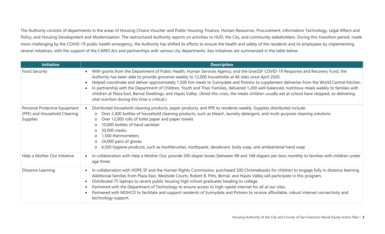The Authority consists of departments in the areas of Housing Choice Voucher and Public Housing, Finance, Human Resources, Procurement, Information Technology, Legal Affairs and Policy, and Housing Development and Modernization. The restructured Authority reports on activities to HUD, the City, and community stakeholders. During this transition period, made more challenging by the COVID-19 public health emergency, the Authority has shifted its efforts to ensure the health and safety of the residents and its employees by implementing several initiatives, with the support of the CARES Act and partnerships with various city departments. Key initiatives are summarized in the table below.

| <b>Initiative</b>                                                         | <b>Description</b>                                                                                                                                                                                                                                                                                                                                                                                                                                                                                                                                                                                                                                                                                                                                                                                |
|---------------------------------------------------------------------------|---------------------------------------------------------------------------------------------------------------------------------------------------------------------------------------------------------------------------------------------------------------------------------------------------------------------------------------------------------------------------------------------------------------------------------------------------------------------------------------------------------------------------------------------------------------------------------------------------------------------------------------------------------------------------------------------------------------------------------------------------------------------------------------------------|
| <b>Food Security</b>                                                      | With grants from the Department of Public Health, Human Services Agency, and the Give2SF COVID-19 Response and Recovery Fund, the<br>$\bullet$<br>Authority has been able to provide groceries weekly to 12,000 households at 46 sites since April 2020.<br>Helped coordinate and deliver approximately 1,500 hot meals to Sunnydale and Potrero to supplement deliveries from the World Central Kitchen.<br>$\bullet$<br>In partnership with the Department of Children, Youth and Their Families, delivered 1,200 well-balanced, nutritious meals weekly to families with<br>$\bullet$<br>children at Plaza East, Bernal Dwellings, and Hayes Valley. (Amid this crisis, the meals children usually eat at school have stopped, so delivering<br>vital nutrition during this time is critical.) |
| Personal Protective Equipment<br>(PPE) and Household Cleaning<br>Supplies | Distributed household cleaning products, paper products, and PPE to residents weekly. Supplies distributed include:<br>Over 2,400 bottles of household cleaning products, such as bleach, laundry detergent, and multi-purpose cleaning solutions<br>$\circ$<br>Over 12,000 rolls of toilet paper and paper towels<br>$\circ$<br>10,000 bottles of hand sanitizer<br>$\Omega$<br>30,000 masks<br>$\circ$<br>1,500 thermometers<br>$\circ$<br>24,000 pairs of gloves<br>$\circ$<br>4,500 hygiene products, such as toothbrushes, toothpaste, deodorant, body soap, and antibacterial hand soap<br>$\circ$                                                                                                                                                                                          |
| Help a Mother Out Initiative                                              | In collaboration with Help a Mother Out, provide 500 diaper boxes (between 88 and 168 diapers per box) monthly to families with children under<br>$\bullet$<br>age three.                                                                                                                                                                                                                                                                                                                                                                                                                                                                                                                                                                                                                         |
| Distance Learning                                                         | In collaboration with HOPE SF and the Human Rights Commission, purchased 500 Chromebooks for children to engage fully in distance learning.<br>$\bullet$<br>Additional families from Plaza East, Westside Courts, Robert B. Pitts, Bernal, and Hayes Valley will participate in this program.<br>Distributed 75 laptops to recent public housing high school graduates heading to college.<br>$\bullet$<br>Partnered with the Department of Technology to ensure access to high-speed internet for all at our sites.<br>$\bullet$<br>Partnered with MOHCD to facilitate and support residents of Sunnydale and Potrero to receive affordable, robust internet connectivity and<br>$\bullet$<br>technology support.                                                                                |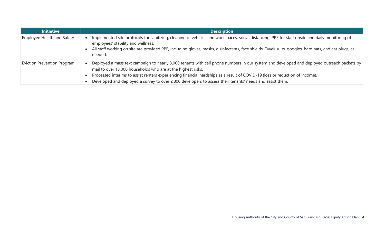| <b>Initiative</b>                  | <b>Description</b>                                                                                                                                                                                                                                                                                                                                                                                                                                     |
|------------------------------------|--------------------------------------------------------------------------------------------------------------------------------------------------------------------------------------------------------------------------------------------------------------------------------------------------------------------------------------------------------------------------------------------------------------------------------------------------------|
| Employee Health and Safety         | Implemented site protocols for sanitizing, cleaning of vehicles and workspaces, social distancing, PPE for staff onsite and daily monitoring of<br>employees' stability and wellness.<br>All staff working on site are provided PPE, including gloves, masks, disinfectants, face shields, Tyvek suits, goggles, hard hats, and ear plugs, as<br>needed.                                                                                               |
| <b>Eviction Prevention Program</b> | Deployed a mass text campaign to nearly 3,000 tenants with cell phone numbers in our system and developed and deployed outreach packets by<br>mail to over 13,000 households who are at the highest risks.<br>Processed interims to assist renters experiencing financial hardships as a result of COVID-19 (loss or reduction of income).<br>Developed and deployed a survey to over 2,800 developers to assess their tenants' needs and assist them. |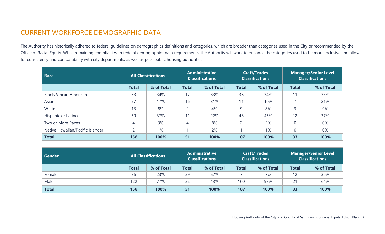### CURRENT WORKFORCE DEMOGRAPHIC DATA

The Authority has historically adhered to federal guidelines on demographics definitions and categories, which are broader than categories used in the City or recommended by the Office of Racial Equity. While remaining compliant with federal demographics data requirements, the Authority will work to enhance the categories used to be more inclusive and allow for consistency and comparability with city departments, as well as peer public housing authorities.

| Race                             | <b>All Classifications</b> |            |                | <b>Administrative</b><br><b>Classifications</b> |                | <b>Craft/Trades</b><br><b>Classifications</b> | <b>Manager/Senior Level</b><br><b>Classifications</b> |            |  |
|----------------------------------|----------------------------|------------|----------------|-------------------------------------------------|----------------|-----------------------------------------------|-------------------------------------------------------|------------|--|
|                                  | <b>Total</b>               | % of Total | <b>Total</b>   | % of Total                                      |                | % of Total                                    | <b>Total</b>                                          | % of Total |  |
| <b>Black/African American</b>    | 53                         | 34%        | 17             | 33%                                             | 36             | 34%                                           | 11                                                    | 33%        |  |
| Asian                            | 27                         | 17%        | 16             | 31%                                             | 11             | 10%                                           |                                                       | 21%        |  |
| White                            | 13                         | 8%         | $\overline{2}$ | 4%                                              | 9              | 8%                                            |                                                       | 9%         |  |
| Hispanic or Latino               | 59                         | 37%        | 11             | 22%                                             | 48             | 45%                                           | 12                                                    | 37%        |  |
| Two or More Races                | 4                          | 3%         | 4              | 8%                                              | $\overline{2}$ | 2%                                            |                                                       | 0%         |  |
| Native Hawaiian/Pacific Islander | $\mathcal{D}$              | 1%         |                | 2%                                              |                | 1%                                            |                                                       | 0%         |  |
| <b>Total</b>                     | 158                        | 100%       | 51             | 100%                                            | 107            | 100%                                          | 33                                                    | 100%       |  |

| Gender       | <b>All Classifications</b> |            |              | <b>Administrative</b><br><b>Classifications</b> |              | <b>Craft/Trades</b><br><b>Classifications</b> | <b>Manager/Senior Level</b><br><b>Classifications</b> |            |
|--------------|----------------------------|------------|--------------|-------------------------------------------------|--------------|-----------------------------------------------|-------------------------------------------------------|------------|
|              | <b>Total</b>               | % of Total | <b>Total</b> | % of Total                                      | <b>Total</b> | % of Total                                    | <b>Total</b>                                          | % of Total |
| Female       | 36                         | 23%        | 29           | 57%                                             |              | 7%                                            |                                                       | 36%        |
| Male         | 122                        | 77%        | 22           | 43%                                             | 100          | 93%                                           | 21                                                    | 64%        |
| <b>Total</b> | 158                        | 100%       |              | 100%                                            | 107          | 100%                                          | 33                                                    | 100%       |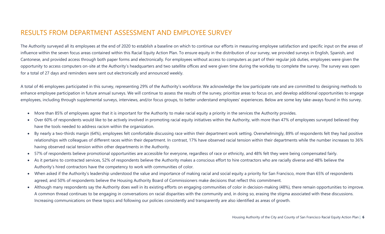### RESULTS FROM DEPARTMENT ASSESSMENT AND EMPLOYEE SURVEY

The Authority surveyed all its employees at the end of 2020 to establish a baseline on which to continue our efforts in measuring employee satisfaction and specific input on the areas of influence within the seven focus areas contained within this Racial Equity Action Plan. To ensure equity in the distribution of our survey, we provided surveys in English, Spanish, and Cantonese, and provided access through both paper forms and electronically. For employees without access to computers as part of their regular job duties, employees were given the opportunity to access computers on-site at the Authority's headquarters and two satellite offices and were given time during the workday to complete the survey. The survey was open for a total of 27 days and reminders were sent out electronically and announced weekly.

A total of 46 employees participated in this survey, representing 29% of the Authority's workforce. We acknowledge the low participate rate and are committed to designing methods to enhance employee participation in future annual surveys. We will continue to assess the results of the survey, prioritize areas to focus on, and develop additional opportunities to engage employees, including through supplemental surveys, interviews, and/or focus groups, to better understand employees' experiences. Below are some key take-aways found in this survey.

- More than 85% of employees agree that it is important for the Authority to make racial equity a priority in the services the Authority provides.
- Over 60% of respondents would like to be actively involved in promoting racial equity initiatives within the Authority, with more than 47% of employees surveyed believed they have the tools needed to address racism within the organization.
- By nearly a two-thirds margin (64%), employees felt comfortable discussing race within their department work setting. Overwhelmingly, 89% of respondents felt they had positive relationships with colleagues of different races within their department. In contrast, 17% have observed racial tension within their departments while the number increases to 36% having observed racial tension within other departments in the Authority.
- 57% of respondents believe promotional opportunities are accessible for everyone, regardless of race or ethnicity, and 48% felt they were being compensated fairly.
- As it pertains to contracted services, 52% of respondents believe the Authority makes a conscious effort to hire contractors who are racially diverse and 48% believe the Authority's hired contractors have the competency to work with communities of color.
- When asked if the Authority's leadership understood the value and importance of making racial and social equity a priority for San Francisco, more than 65% of respondents agreed, and 50% of respondents believe the Housing Authority Board of Commissioners make decisions that reflect this commitment.
- Although many respondents say the Authority does well in its existing efforts on engaging communities of color in decision-making (48%), there remain opportunities to improve. A common thread continues to be engaging in conversations on racial disparities with the community and, in doing so, erasing the stigma associated with these discussions. Increasing communications on these topics and following our policies consistently and transparently are also identified as areas of growth.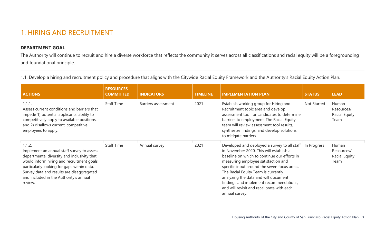### 1. HIRING AND RECRUITMENT

#### **DEPARTMENT GOAL**

The Authority will continue to recruit and hire a diverse workforce that reflects the community it serves across all classifications and racial equity will be a foregrounding and foundational principle.

1.1. Develop a hiring and recruitment policy and procedure that aligns with the Citywide Racial Equity Framework and the Authority's Racial Equity Action Plan.

| <b>ACTIONS</b>                                                                                                                                                                                                                                                                                    | <b>RESOURCES</b><br><b>COMMITTED</b> | <b>INDICATORS</b>   | <b>TIMELINE</b> | <b>IMPLEMENTATION PLAN</b>                                                                                                                                                                                                                                                                                                                                                                                                           | <b>STATUS</b> | <b>LEAD</b>                                  |
|---------------------------------------------------------------------------------------------------------------------------------------------------------------------------------------------------------------------------------------------------------------------------------------------------|--------------------------------------|---------------------|-----------------|--------------------------------------------------------------------------------------------------------------------------------------------------------------------------------------------------------------------------------------------------------------------------------------------------------------------------------------------------------------------------------------------------------------------------------------|---------------|----------------------------------------------|
| 1.1.1.<br>Assess current conditions and barriers that<br>impede 1) potential applicants' ability to<br>competitively apply to available positions,<br>and 2) disallows current, competitive<br>employees to apply.                                                                                | <b>Staff Time</b>                    | Barriers assessment | 2021            | Establish working group for Hiring and<br>Recruitment topic area and develop<br>assessment tool for candidates to determine<br>barriers to employment. The Racial Equity<br>team will review assessment tool results,<br>synthesize findings, and develop solutions<br>to mitigate barriers.                                                                                                                                         | Not Started   | Human<br>Resources/<br>Racial Equity<br>Team |
| 1.1.2.<br>Implement an annual staff survey to assess<br>departmental diversity and inclusivity that<br>would inform hiring and recruitment goals,<br>particularly looking for gaps within data.<br>Survey data and results are disaggregated<br>and included in the Authority's annual<br>review. | <b>Staff Time</b>                    | Annual survey       | 2021            | Developed and deployed a survey to all staff In Progress<br>in November 2020. This will establish a<br>baseline on which to continue our efforts in<br>measuring employee satisfaction and<br>specific input around the seven focus areas.<br>The Racial Equity Team is currently<br>analyzing the data and will document<br>findings and implement recommendations,<br>and will revisit and recalibrate with each<br>annual survey. |               | Human<br>Resources/<br>Racial Equity<br>Team |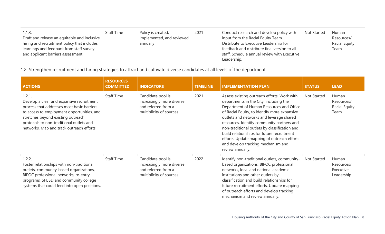| 1.1.3.                                       | <b>Staff Time</b> | Policy is created,        | 2021 | Conduct research and develop policy with     | <b>Not Started</b> | <b>Human</b>  |
|----------------------------------------------|-------------------|---------------------------|------|----------------------------------------------|--------------------|---------------|
| Draft and release an equitable and inclusive |                   | implemented, and reviewed |      | input from the Racial Equity Team.           |                    | Resources/    |
| hiring and recruitment policy that includes  |                   | annually                  |      | Distribute to Executive Leadership for       |                    | Racial Equity |
| learnings and feedback from staff survey     |                   |                           |      | feedback and distribute final version to all |                    | Team          |
| and applicant barriers assessment.           |                   |                           |      | staff. Schedule annual review with Executive |                    |               |
|                                              |                   |                           |      | Leadership.                                  |                    |               |

1.2. Strengthen recruitment and hiring strategies to attract and cultivate diverse candidates at all levels of the department.

| <b>ACTIONS</b>                                                                                                                                                                                                                                                                 | <b>RESOURCES</b><br><b>COMMITTED</b> | <b>INDICATORS</b>                                                                                | <b>TIMELINE</b> | <b>IMPLEMENTATION PLAN</b>                                                                                                                                                                                                                                                                                                                                                                                                                                                          | <b>STATUS</b> | <b>LEAD</b>                                         |
|--------------------------------------------------------------------------------------------------------------------------------------------------------------------------------------------------------------------------------------------------------------------------------|--------------------------------------|--------------------------------------------------------------------------------------------------|-----------------|-------------------------------------------------------------------------------------------------------------------------------------------------------------------------------------------------------------------------------------------------------------------------------------------------------------------------------------------------------------------------------------------------------------------------------------------------------------------------------------|---------------|-----------------------------------------------------|
| 1.2.1.<br>Develop a clear and expansive recruitment<br>process that addresses most basic barriers<br>to access to employment opportunities, and<br>stretches beyond existing outreach<br>protocols to non-traditional outlets and<br>networks. Map and track outreach efforts. | <b>Staff Time</b>                    | Candidate pool is<br>increasingly more diverse<br>and referred from a<br>multiplicity of sources | 2021            | Assess existing outreach efforts. Work with<br>departments in the City, including the<br>Department of Human Resources and Office<br>of Racial Equity, to identify more expansive<br>outlets and networks and leverage shared<br>resources. Identify community partners and<br>non-traditional outlets by classification and<br>build relationships for future recruitment<br>efforts. Update mapping of outreach efforts<br>and develop tracking mechanism and<br>review annually. | Not Started   | Human<br>Resources/<br><b>Racial Equity</b><br>Team |
| 1.2.2.<br>Foster relationships with non-traditional<br>outlets, community-based organizations,<br>BIPOC professional networks, re-entry<br>programs, SFUSD and community college<br>systems that could feed into open positions.                                               | <b>Staff Time</b>                    | Candidate pool is<br>increasingly more diverse<br>and referred from a<br>multiplicity of sources | 2022            | Identify non-traditional outlets, community-<br>based organizations, BIPOC professional<br>networks, local and national academic<br>institutions and other outlets by<br>classification and build relationships for<br>future recruitment efforts. Update mapping<br>of outreach efforts and develop tracking<br>mechanism and review annually.                                                                                                                                     | Not Started   | Human<br>Resources/<br>Executive<br>Leadership      |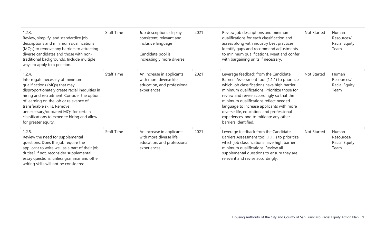| 1.2.3.<br>Review, simplify, and standardize job<br>descriptions and minimum qualifications<br>(MQ's) to remove any barriers to attracting<br>diverse candidates and those with non-<br>traditional backgrounds. Include multiple<br>ways to apply to a position.                                                                                                     | <b>Staff Time</b> | Job descriptions display<br>consistent, relevant and<br>inclusive language<br>Candidate pool is<br>increasingly more diverse | 2021 | Review job descriptions and minimum<br>qualifications for each classification and<br>assess along with industry best practices.<br>Identify gaps and recommend adjustments<br>to minimum qualifications. Meet and confer<br>with bargaining units if necessary.                                                                                                                                                                         | <b>Not Started</b> | Human<br>Resources/<br><b>Racial Equity</b><br>Team |
|----------------------------------------------------------------------------------------------------------------------------------------------------------------------------------------------------------------------------------------------------------------------------------------------------------------------------------------------------------------------|-------------------|------------------------------------------------------------------------------------------------------------------------------|------|-----------------------------------------------------------------------------------------------------------------------------------------------------------------------------------------------------------------------------------------------------------------------------------------------------------------------------------------------------------------------------------------------------------------------------------------|--------------------|-----------------------------------------------------|
| 1.2.4.<br>Interrogate necessity of minimum<br>qualifications (MQs) that may<br>disproportionately create racial inequities in<br>hiring and recruitment. Consider the option<br>of learning on the job or relevance of<br>transferable skills. Remove<br>unnecessary/outdated MQs for certain<br>classifications to expedite hiring and allow<br>for greater equity. | <b>Staff Time</b> | An increase in applicants<br>with more diverse life,<br>education, and professional<br>experiences                           | 2021 | Leverage feedback from the Candidate<br>Barriers Assessment tool (1.1.1) to prioritize<br>which job classifications have high barrier<br>minimum qualifications. Prioritize those for<br>review and revise accordingly so that the<br>minimum qualifications reflect needed<br>language to increase applicants with more<br>diverse life, education, and professional<br>experiences, and to mitigate any other<br>barriers identified. | <b>Not Started</b> | Human<br>Resources/<br>Racial Equity<br>Team        |
| 1.2.5.<br>Review the need for supplemental<br>questions. Does the job require the<br>applicant to write well as a part of their job<br>duties? If not, reconsider supplemental<br>essay questions, unless grammar and other<br>writing skills will not be considered.                                                                                                | <b>Staff Time</b> | An increase in applicants<br>with more diverse life,<br>education, and professional<br>experiences                           | 2021 | Leverage feedback from the Candidate<br>Barriers Assessment tool (1.1.1) to prioritize<br>which job classifications have high barrier<br>minimum qualifications. Review all<br>supplemental questions to ensure they are<br>relevant and revise accordingly.                                                                                                                                                                            | <b>Not Started</b> | Human<br>Resources/<br>Racial Equity<br>Team        |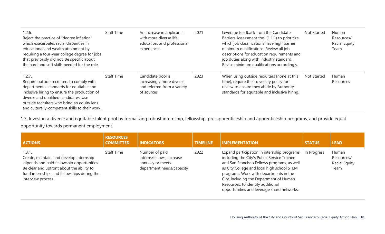| 1.2.6.<br>Reject the practice of "degree inflation"<br>which exacerbates racial disparities in<br>educational and wealth attainment by<br>requiring a four-year college degree for jobs<br>that previously did not. Be specific about<br>the hard and soft skills needed for the role.    | <b>Staff Time</b> | An increase in applicants<br>with more diverse life,<br>education, and professional<br>experiences | 2021 | Leverage feedback from the Candidate<br>Barriers Assessment tool (1.1.1) to prioritize<br>which job classifications have high barrier<br>minimum qualifications. Review all job<br>descriptions for education requirements and<br>job duties along with industry standard.<br>Revise minimum qualifications accordingly. | Not Started | <b>Human</b><br>Resources/<br>Racial Equity<br>Team |
|-------------------------------------------------------------------------------------------------------------------------------------------------------------------------------------------------------------------------------------------------------------------------------------------|-------------------|----------------------------------------------------------------------------------------------------|------|--------------------------------------------------------------------------------------------------------------------------------------------------------------------------------------------------------------------------------------------------------------------------------------------------------------------------|-------------|-----------------------------------------------------|
| 1.2.7.<br>Require outside recruiters to comply with<br>departmental standards for equitable and<br>inclusive hiring to ensure the production of<br>diverse and qualified candidates. Use<br>outside recruiters who bring an equity lens<br>and culturally-competent skills to their work. | <b>Staff Time</b> | Candidate pool is<br>increasingly more diverse<br>and referred from a variety<br>of sources        | 2023 | When using outside recruiters (none at this<br>time), require their diversity policy for<br>review to ensure they abide by Authority<br>standards for equitable and inclusive hiring.                                                                                                                                    | Not Started | Human<br>Resources                                  |

1.3. Invest in a diverse and equitable talent pool by formalizing robust internship, fellowship, pre-apprenticeship and apprenticeship programs, and provide equal opportunity towards permanent employment.

| <b>ACTIONS</b>                                                                                                                                                                                                      | <b>RESOURCES</b><br><b>COMMITTED</b> | <b>INDICATORS</b>                                                                             | <b>TIMELINE</b> | <b>IMPLEMENTATION</b>                                                                                                                                                                                                                                                                                                                                            | <b>STATUS</b> | <b>LEAD</b>                                  |
|---------------------------------------------------------------------------------------------------------------------------------------------------------------------------------------------------------------------|--------------------------------------|-----------------------------------------------------------------------------------------------|-----------------|------------------------------------------------------------------------------------------------------------------------------------------------------------------------------------------------------------------------------------------------------------------------------------------------------------------------------------------------------------------|---------------|----------------------------------------------|
| 1.3.1.<br>Create, maintain, and develop internship<br>stipends and paid fellowship opportunities.<br>Be clear and upfront about the ability to<br>fund internships and fellowships during the<br>interview process. | <b>Staff Time</b>                    | Number of paid<br>interns/fellows, increase<br>annually or meets<br>department needs/capacity | 2022            | Expand participation in internship programs,<br>including the City's Public Service Trainee<br>and San Francisco Fellows programs, as well<br>as City College and local high school STEM<br>programs. Work with departments in the<br>City, including the Department of Human<br>Resources, to identify additional<br>opportunities and leverage shard networks. | In Progress   | Human<br>Resources/<br>Racial Equity<br>Team |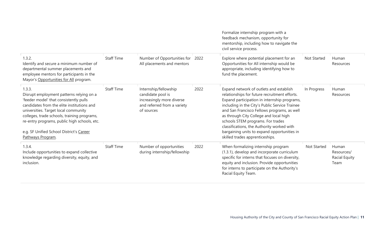|                                                                                                                                                                                                                                                                                                                                                    |                   |                                                                                                                      |      | Formalize internship program with a<br>feedback mechanism, opportunity for<br>mentorship, including how to navigate the<br>civil service process.                                                                                                                                                                                                                                                                                                        |             |                                              |
|----------------------------------------------------------------------------------------------------------------------------------------------------------------------------------------------------------------------------------------------------------------------------------------------------------------------------------------------------|-------------------|----------------------------------------------------------------------------------------------------------------------|------|----------------------------------------------------------------------------------------------------------------------------------------------------------------------------------------------------------------------------------------------------------------------------------------------------------------------------------------------------------------------------------------------------------------------------------------------------------|-------------|----------------------------------------------|
| 1.3.2.<br>Identify and secure a minimum number of<br>departmental summer placements and<br>employee mentors for participants in the<br>Mayor's Opportunities for All program.                                                                                                                                                                      | <b>Staff Time</b> | Number of Opportunities for<br>All placements and mentors                                                            | 2022 | Explore where potential placement for an<br>Opportunities for All internship would be<br>appropriate, including identifying how to<br>fund the placement.                                                                                                                                                                                                                                                                                                | Not Started | Human<br>Resources                           |
| 1.3.3.<br>Disrupt employment patterns relying on a<br>'feeder model' that consistently pulls<br>candidates from the elite institutions and<br>universities. Target local community<br>colleges, trade schools, training programs,<br>re-entry programs, public high schools, etc.<br>e.g. SF Unified School District's Career<br>Pathways Program. | <b>Staff Time</b> | Internship/fellowship<br>candidate pool is<br>increasingly more diverse<br>and referred from a variety<br>of sources | 2022 | Expand network of outlets and establish<br>relationships for future recruitment efforts.<br>Expand participation in internship programs,<br>including in the City's Public Service Trainee<br>and San Francisco Fellows programs, as well<br>as through City College and local high<br>schools STEM programs. For trades<br>classifications, the Authority worked with<br>bargaining units to expand opportunities in<br>skilled trades apprenticeships. | In Progress | Human<br>Resources                           |
| 1.3.4.<br>Include opportunities to expand collective<br>knowledge regarding diversity, equity, and<br>inclusion.                                                                                                                                                                                                                                   | <b>Staff Time</b> | Number of opportunities<br>during internship/fellowship                                                              | 2022 | When formalizing internship program<br>(1.3.1), develop and incorporate curriculum<br>specific for interns that focuses on diversity,<br>equity and inclusion. Provide opportunities<br>for interns to participate on the Authority's<br>Racial Equity Team.                                                                                                                                                                                             | Not Started | Human<br>Resources/<br>Racial Equity<br>Team |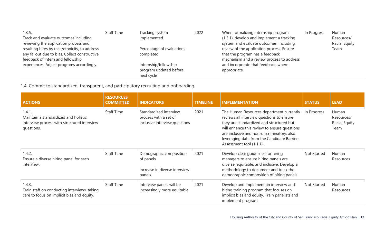| 1.3.5.                                        | <b>Staff Time</b> | Tracking system           | 2022 | When formalizing internship program       | In Progress | Human                |
|-----------------------------------------------|-------------------|---------------------------|------|-------------------------------------------|-------------|----------------------|
| Track and evaluate outcomes including         |                   | implemented               |      | (1.3.1), develop and implement a tracking |             | Resources/           |
| reviewing the application process and         |                   |                           |      | system and evaluate outcomes, including   |             | <b>Racial Equity</b> |
| resulting hires by race/ethnicity, to address |                   | Percentage of evaluations |      | review of the application process. Ensure |             | Team                 |
| any fallout due to bias. Collect constructive |                   | completed                 |      | that the program has a feedback           |             |                      |
| feedback of intern and fellowship             |                   |                           |      | mechanism and a review process to address |             |                      |
| experiences. Adjust programs accordingly.     |                   | Internship/fellowship     |      | and incorporate that feedback, where      |             |                      |
|                                               |                   | program updated before    |      | appropriate.                              |             |                      |
|                                               |                   | next cycle                |      |                                           |             |                      |

1.4. Commit to standardized, transparent, and participatory recruiting and onboarding.

| <b>ACTIONS</b>                                                                                              | <b>RESOURCES</b><br><b>COMMITTED</b> | <b>INDICATORS</b>                                                                | <b>TIMELINE</b> | <b>IMPLEMENTATION</b>                                                                                                                                                                                                                                                                                      | <b>STATUS</b> | <b>LEAD</b>                                  |
|-------------------------------------------------------------------------------------------------------------|--------------------------------------|----------------------------------------------------------------------------------|-----------------|------------------------------------------------------------------------------------------------------------------------------------------------------------------------------------------------------------------------------------------------------------------------------------------------------------|---------------|----------------------------------------------|
| 1.4.1.<br>Maintain a standardized and holistic<br>interview process with structured interview<br>questions. | <b>Staff Time</b>                    | Standardized interview<br>process with a set of<br>inclusive interview questions | 2021            | The Human Resources department currently<br>reviews all interview questions to ensure<br>they are standardized and structured but<br>will enhance this review to ensure questions<br>are inclusive and non-discriminatory, also<br>leveraging data from the Candidate Barriers<br>Assessment tool (1.1.1). | In Progress   | Human<br>Resources/<br>Racial Equity<br>Team |
| 1.4.2.<br>Ensure a diverse hiring panel for each<br>interview.                                              | <b>Staff Time</b>                    | Demographic composition<br>of panels<br>Increase in diverse interview<br>panels  | 2021            | Develop clear guidelines for hiring<br>managers to ensure hiring panels are<br>diverse, equitable, and inclusive. Develop a<br>methodology to document and track the<br>demographic composition of hiring panels.                                                                                          | Not Started   | Human<br>Resources                           |
| 1.4.3.<br>Train staff on conducting interviews, taking<br>care to focus on implicit bias and equity.        | <b>Staff Time</b>                    | Interview panels will be<br>increasingly more equitable                          | 2021            | Develop and implement an interview and<br>hiring training program that focuses on<br>implicit bias and equity. Train panelists and<br>implement program.                                                                                                                                                   | Not Started   | Human<br>Resources                           |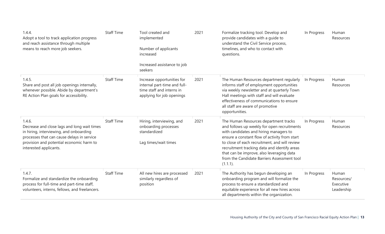| 1.4.4.<br>Adopt a tool to track application progress<br>and reach assistance through multiple<br>means to reach more job seekers.                                                                                    | <b>Staff Time</b> | Tool created and<br>implemented<br>Number of applicants<br>increased<br>Increased assistance to job                             | 2021 | Formalize tracking tool. Develop and<br>provide candidates with a quide to<br>understand the Civil Service process,<br>timelines, and who to contact with<br>questions.                                                                                                                                                                                                                  | In Progress | Human<br>Resources                             |
|----------------------------------------------------------------------------------------------------------------------------------------------------------------------------------------------------------------------|-------------------|---------------------------------------------------------------------------------------------------------------------------------|------|------------------------------------------------------------------------------------------------------------------------------------------------------------------------------------------------------------------------------------------------------------------------------------------------------------------------------------------------------------------------------------------|-------------|------------------------------------------------|
| 1.4.5.<br>Share and post all job openings internally,<br>whenever possible. Abide by department's<br>RE Action Plan goals for accessibility.                                                                         | <b>Staff Time</b> | seekers<br>Increase opportunities for<br>internal part-time and full-<br>time staff and interns in<br>applying for job openings | 2021 | The Human Resources department regularly<br>informs staff of employment opportunities<br>via weekly newsletter and at quarterly Town<br>Hall meetings with staff and will evaluate<br>effectiveness of communications to ensure<br>all staff are aware of promotive<br>opportunities.                                                                                                    | In Progress | Human<br>Resources                             |
| 1.4.6.<br>Decrease and close lags and long wait times<br>in hiring, interviewing, and onboarding<br>processes that can cause delays in service<br>provision and potential economic harm to<br>interested applicants. | <b>Staff Time</b> | Hiring, interviewing, and<br>onboarding processes<br>standardized<br>Lag times/wait times                                       | 2021 | The Human Resources department tracks<br>and follows up weekly for open recruitments<br>with candidates and hiring managers to<br>ensure a constant flow of activity from start<br>to close of each recruitment, and will review<br>recruitment tracking data and identify areas<br>that can be improve, also leveraging data<br>from the Candidate Barriers Assessment tool<br>(1.1.1). | In Progress | Human<br>Resources                             |
| 1.4.7.<br>Formalize and standardize the onboarding<br>process for full-time and part-time staff,<br>volunteers, interns, fellows, and freelancers.                                                                   | <b>Staff Time</b> | All new hires are processed<br>similarly regardless of<br>position                                                              | 2021 | The Authority has begun developing an<br>onboarding program and will formalize the<br>process to ensure a standardized and<br>equitable experience for all new hires across<br>all departments within the organization.                                                                                                                                                                  | In Progress | Human<br>Resources/<br>Executive<br>Leadership |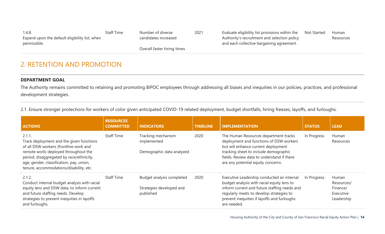| 1.4.8.                                         | Staff Time | Number of diverse           | 2021 | Evaluate eligibility list provisions within the | <b>Not Started</b> | Human     |
|------------------------------------------------|------------|-----------------------------|------|-------------------------------------------------|--------------------|-----------|
| Expand upon the default eligibility list, when |            | candidates increased        |      | Authority's recruitment and selection policy    |                    | Resources |
| permissible.                                   |            |                             |      | and each collective bargaining agreement.       |                    |           |
|                                                |            | Overall faster hiring times |      |                                                 |                    |           |

### 2. RETENTION AND PROMOTION

#### **DEPARTMENT GOAL**

The Authority remains committed to retaining and promoting BIPOC employees through addressing all biases and inequities in our policies, practices, and professional development strategies.

2.1. Ensure stronger protections for workers of color given anticipated COVID-19 related deployment, budget shortfalls, hiring freezes, layoffs, and furloughs.

| <b>ACTIONS</b>                                                                                                                                                                                                                                                          | <b>RESOURCES</b><br><b>COMMITTED</b> | <b>INDICATORS</b>                                                  | <b>TIMELINE</b> | <b>IMPLEMENTATION</b>                                                                                                                                                                                                                                | <b>STATUS</b> | <b>LEAD</b>                                                |
|-------------------------------------------------------------------------------------------------------------------------------------------------------------------------------------------------------------------------------------------------------------------------|--------------------------------------|--------------------------------------------------------------------|-----------------|------------------------------------------------------------------------------------------------------------------------------------------------------------------------------------------------------------------------------------------------------|---------------|------------------------------------------------------------|
| 2.1.1.<br>Track deployment and the given functions<br>of all DSW workers (frontline work and<br>remote work) deployed throughout the<br>period, disaggregated by race/ethnicity,<br>age, gender, classification, pay, union,<br>tenure, accommodations/disability, etc. | <b>Staff Time</b>                    | Tracking mechanism<br>implemented<br>Demographic data analyzed     | 2020            | The Human Resources department tracks<br>deployment and functions of DSW workers<br>but will enhance current deployment<br>tracking sheet to include demographic<br>fields. Review data to understand if there<br>are any potential equity concerns. | In Progress   | Human<br><b>Resources</b>                                  |
| 2.1.2.<br>Conduct internal budget analysis with racial<br>equity lens and DSW data, to inform current<br>and future staffing needs. Develop<br>strategies to prevent inequities in layoffs<br>and furloughs.                                                            | <b>Staff Time</b>                    | Budget analysis completed<br>Strategies developed and<br>published | 2020            | Executive Leadership conducted an internal<br>budget analysis with racial equity lens to<br>inform current and future staffing needs and<br>regularly meets to develop strategies to<br>prevent inequities if layoffs and furloughs<br>are needed.   | In Progress   | Human<br>Resources/<br>Finance/<br>Executive<br>Leadership |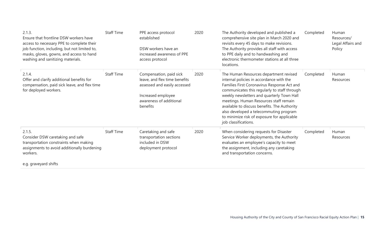| 2.1.3.<br>Ensure that frontline DSW workers have<br>access to necessary PPE to complete their<br>job function, including, but not limited to,<br>masks, gloves, gowns, and access to hand<br>washing and sanitizing materials. | <b>Staff Time</b> | PPE access protocol<br>established<br>DSW workers have an<br>increased awareness of PPE<br>access protocol                                            | 2020 | The Authority developed and published a<br>comprehensive site plan in March 2020 and<br>revisits every 45 days to make revisions.<br>The Authority provides all staff with access<br>to PPE daily and to handwashing and<br>electronic thermometer stations at all three<br>locations.                                                                                                                                                     | Completed | Human<br>Resources/<br>Legal Affairs and<br>Policy |
|--------------------------------------------------------------------------------------------------------------------------------------------------------------------------------------------------------------------------------|-------------------|-------------------------------------------------------------------------------------------------------------------------------------------------------|------|--------------------------------------------------------------------------------------------------------------------------------------------------------------------------------------------------------------------------------------------------------------------------------------------------------------------------------------------------------------------------------------------------------------------------------------------|-----------|----------------------------------------------------|
| 2.1.4.<br>Offer and clarify additional benefits for<br>compensation, paid sick leave, and flex time<br>for deployed workers.                                                                                                   | <b>Staff Time</b> | Compensation, paid sick<br>leave, and flex time benefits<br>assessed and easily accessed<br>Increased employee<br>awareness of additional<br>benefits | 2020 | The Human Resources department revised<br>internal policies in accordance with the<br>Families First Coronavirus Response Act and<br>communicates this regularly to staff through<br>weekly newsletters and quarterly Town Hall<br>meetings. Human Resources staff remain<br>available to discuss benefits. The Authority<br>also developed a telecommuting program<br>to minimize risk of exposure for applicable<br>job classifications. | Completed | Human<br>Resources                                 |
| 2.1.5.<br>Consider DSW caretaking and safe<br>transportation constraints when making<br>assignments to avoid additionally burdening<br>workers.<br>$\cdots$                                                                    | <b>Staff Time</b> | Caretaking and safe<br>transportation sections<br>included in DSW<br>deployment protocol                                                              | 2020 | When considering requests for Disaster<br>Service Worker deployments, the Authority<br>evaluates an employee's capacity to meet<br>the assignment, including any caretaking<br>and transportation concerns.                                                                                                                                                                                                                                | Completed | Human<br>Resources                                 |

e.g. graveyard shifts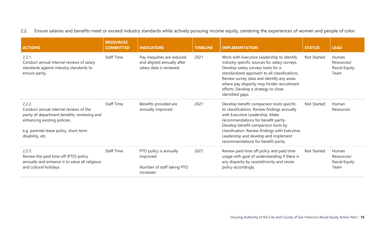2.2. Ensure salaries and benefits meet or exceed industry standards while actively pursuing income equity, centering the experiences of women and people of color.

| <b>ACTIONS</b>                                                                                                                                                                                 | <b>RESOURCES</b><br><b>COMMITTED</b> | <b>INDICATORS</b>                                                                   | <b>TIMELINE</b> | <b>IMPLEMENTATION</b>                                                                                                                                                                                                                                                                                                                       | <b>STATUS</b> | <b>LEAD</b>                                  |
|------------------------------------------------------------------------------------------------------------------------------------------------------------------------------------------------|--------------------------------------|-------------------------------------------------------------------------------------|-----------------|---------------------------------------------------------------------------------------------------------------------------------------------------------------------------------------------------------------------------------------------------------------------------------------------------------------------------------------------|---------------|----------------------------------------------|
| 2.2.1.<br>Conduct annual internal reviews of salary<br>standards against industry standards to<br>ensure parity.                                                                               | <b>Staff Time</b>                    | Pay inequities are reduced<br>and aligned annually after<br>salary data is reviewed | 2021            | Work with Executive Leadership to identify<br>industry specific sources for salary surveys.<br>Develop salary surveys tools for a<br>standardized approach to all classifications.<br>Review survey data and identify any areas<br>where pay disparity may hinder recruitment<br>efforts. Develop a strategy to close<br>identified gaps.   | Not Started   | Human<br>Resources/<br>Racial Equity<br>Team |
| 2.2.2.<br>Conduct annual internal reviews of the<br>parity of department benefits, reviewing and<br>enhancing existing policies.<br>e.g. parental leave policy, short-term<br>disability, etc. | <b>Staff Time</b>                    | Benefits provided are<br>annually improved                                          | 2021            | Develop benefit comparison tools specific<br>to classifications. Review findings annually<br>with Executive Leadership. Make<br>recommendations for benefit parity.<br>Develop benefit comparison tools by<br>classification. Review findings with Executive<br>Leadership and develop and implement<br>recommendations for benefit parity. | Not Started   | Human<br>Resources                           |
| 2.2.3.<br>Review the paid time off (PTO) policy<br>annually and enhance it to value all religious<br>and cultural holidays.                                                                    | <b>Staff Time</b>                    | PTO policy is annually<br>improved<br>Number of staff taking PTO<br>increases       | 2021            | Review paid time off policy and paid time<br>usage with goal of understanding if there is<br>any disparity by race/ethnicity and revise<br>policy accordingly.                                                                                                                                                                              | Not Started   | Human<br>Resources/<br>Racial Equity<br>Team |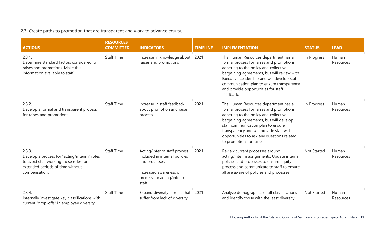#### 2.3. Create paths to promotion that are transparent and work to advance equity.

| <b>ACTIONS</b>                                                                                                                                        | <b>RESOURCES</b><br><b>COMMITTED</b> | <b>INDICATORS</b>                                                                                                                               | <b>TIMELINE</b> | <b>IMPLEMENTATION</b>                                                                                                                                                                                                                                                                                                             | <b>STATUS</b> | <b>LEAD</b>        |
|-------------------------------------------------------------------------------------------------------------------------------------------------------|--------------------------------------|-------------------------------------------------------------------------------------------------------------------------------------------------|-----------------|-----------------------------------------------------------------------------------------------------------------------------------------------------------------------------------------------------------------------------------------------------------------------------------------------------------------------------------|---------------|--------------------|
| 2.3.1.<br>Determine standard factors considered for<br>raises and promotions. Make this<br>information available to staff.                            | <b>Staff Time</b>                    | Increase in knowledge about<br>raises and promotions                                                                                            | 2021            | The Human Resources department has a<br>formal process for raises and promotions,<br>adhering to the policy and collective<br>bargaining agreements, but will review with<br>Executive Leadership and will develop staff<br>communication plan to ensure transparency<br>and provide opportunities for staff<br>feedback.         | In Progress   | Human<br>Resources |
| 2.3.2.<br>Develop a formal and transparent process<br>for raises and promotions.                                                                      | <b>Staff Time</b>                    | Increase in staff feedback<br>about promotion and raise<br>process                                                                              | 2021            | The Human Resources department has a<br>formal process for raises and promotions,<br>adhering to the policy and collective<br>bargaining agreements, but will develop<br>staff communication plan to ensure<br>transparency and will provide staff with<br>opportunities to ask any questions related<br>to promotions or raises. | In Progress   | Human<br>Resources |
| 2.3.3.<br>Develop a process for "acting/interim" roles<br>to avoid staff working these roles for<br>extended periods of time without<br>compensation. | <b>Staff Time</b>                    | Acting/interim staff process<br>included in internal policies<br>and processes<br>Increased awareness of<br>process for acting/interim<br>staff | 2021            | Review current processes around<br>acting/interim assignments. Update internal<br>policies and processes to ensure equity in<br>process and communicate to staff to ensure<br>all are aware of policies and processes.                                                                                                            | Not Started   | Human<br>Resources |
| 2.3.4.<br>Internally investigate key classifications with<br>current "drop-offs" in employee diversity.                                               | <b>Staff Time</b>                    | Expand diversity in roles that<br>suffer from lack of diversity.                                                                                | 2021            | Analyze demographics of all classifications<br>and identify those with the least diversity.                                                                                                                                                                                                                                       | Not Started   | Human<br>Resources |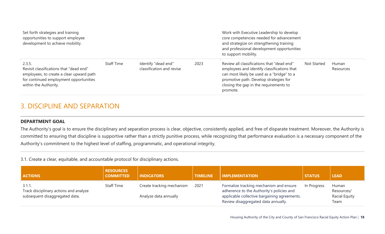| Set forth strategies and training<br>opportunities to support employee<br>development to achieve mobility.                                                       |                   |                                                  |      | Work with Executive Leadership to develop<br>core competencies needed for advancement<br>and strategize on strengthening training<br>and professional development opportunities<br>to support mobility.                                 |                    |                    |
|------------------------------------------------------------------------------------------------------------------------------------------------------------------|-------------------|--------------------------------------------------|------|-----------------------------------------------------------------------------------------------------------------------------------------------------------------------------------------------------------------------------------------|--------------------|--------------------|
| 2.3.5.<br>Revisit classifications that "dead end"<br>employees, to create a clear upward path<br>for continued employment opportunities<br>within the Authority. | <b>Staff Time</b> | Identify "dead end"<br>classification and revise | 2023 | Review all classifications that "dead end"<br>employees and identify classifications that<br>can most likely be used as a "bridge" to a<br>promotive path. Develop strategies for<br>closing the gap in the requirements to<br>promote. | <b>Not Started</b> | Human<br>Resources |

### 3. DISCIPLINE AND SEPARATION

#### **DEPARTMENT GOAL**

The Authority's goal is to ensure the disciplinary and separation process is clear, objective, consistently applied, and free of disparate treatment. Moreover, the Authority is committed to ensuring that discipline is supportive rather than a strictly punitive process, while recognizing that performance evaluation is a necessary component of the Authority's commitment to the highest level of staffing, programmatic, and operational integrity.

3.1. Create a clear, equitable, and accountable protocol for disciplinary actions.

| <b>ACTIONS</b>                                   | <b>RESOURCES</b><br><b>COMMITTED</b> | <b>INDICATORS</b>         | <b>TIMELINE</b> | <b>IMPLEMENTATION</b>                                                                | <b>STATUS</b> | <b>LEAD</b>                  |
|--------------------------------------------------|--------------------------------------|---------------------------|-----------------|--------------------------------------------------------------------------------------|---------------|------------------------------|
| 3.1.1.<br>Track disciplinary actions and analyze | <b>Staff Time</b>                    | Create tracking mechanism | 2021            | Formalize tracking mechanism and ensure<br>adherence to the Authority's policies and | In Progress   | Human<br>Resources/          |
| subsequent disaggregated data.                   |                                      | Analyze data annually     |                 | applicable collective bargaining agreements.<br>Review disaggregated data annually.  |               | <b>Racial Equity</b><br>Team |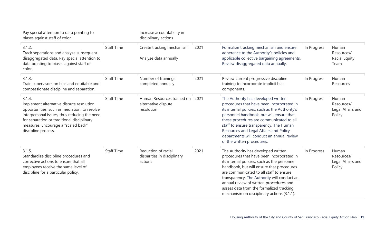| Pay special attention to data pointing to<br>biases against staff of color.                                                                                                                                                                                    |                   | Increase accountability in<br>disciplinary actions              |      |                                                                                                                                                                                                                                                                                                                                                                                                              |             |                                                    |
|----------------------------------------------------------------------------------------------------------------------------------------------------------------------------------------------------------------------------------------------------------------|-------------------|-----------------------------------------------------------------|------|--------------------------------------------------------------------------------------------------------------------------------------------------------------------------------------------------------------------------------------------------------------------------------------------------------------------------------------------------------------------------------------------------------------|-------------|----------------------------------------------------|
| 3.1.2.<br>Track separations and analyze subsequent<br>disaggregated data. Pay special attention to<br>data pointing to biases against staff of<br>color.                                                                                                       | <b>Staff Time</b> | Create tracking mechanism<br>Analyze data annually              | 2021 | Formalize tracking mechanism and ensure<br>adherence to the Authority's policies and<br>applicable collective bargaining agreements.<br>Review disaggregated data annually.                                                                                                                                                                                                                                  | In Progress | Human<br>Resources/<br>Racial Equity<br>Team       |
| 3.1.3.<br>Train supervisors on bias and equitable and<br>compassionate discipline and separation.                                                                                                                                                              | <b>Staff Time</b> | Number of trainings<br>completed annually                       | 2021 | Review current progressive discipline<br>training to incorporate implicit bias<br>components.                                                                                                                                                                                                                                                                                                                | In Progress | Human<br>Resources                                 |
| 3.1.4.<br>Implement alternative dispute resolution<br>opportunities, such as mediation, to resolve<br>interpersonal issues, thus reducing the need<br>for separation or traditional disciplinary<br>measures. Encourage a "scaled back"<br>discipline process. | <b>Staff Time</b> | Human Resources trained on<br>alternative dispute<br>resolution | 2021 | The Authority has developed written<br>procedures that have been incorporated in<br>its internal policies, such as the Authority's<br>personnel handbook, but will ensure that<br>these procedures are communicated to all<br>staff to ensure transparency. The Human<br>Resources and Legal Affairs and Policy<br>departments will conduct an annual review<br>of the written procedures.                   | In Progress | Human<br>Resources/<br>Legal Affairs and<br>Policy |
| 3.1.5.<br>Standardize discipline procedures and<br>corrective actions to ensure that all<br>employees receive the same level of<br>discipline for a particular policy.                                                                                         | <b>Staff Time</b> | Reduction of racial<br>disparities in disciplinary<br>actions   | 2021 | The Authority has developed written<br>procedures that have been incorporated in<br>its internal policies, such as the personnel<br>handbook, but will ensure that procedures<br>are communicated to all staff to ensure<br>transparency. The Authority will conduct an<br>annual review of written procedures and<br>assess data from the formalized tracking<br>mechanism on disciplinary actions (3.1.1). | In Progress | Human<br>Resources/<br>Legal Affairs and<br>Policy |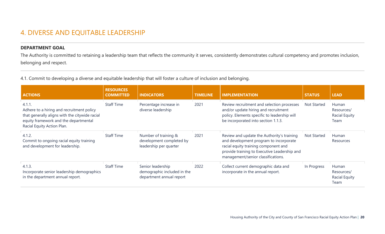### 4. DIVERSE AND EQUITABLE LEADERSHIP

#### **DEPARTMENT GOAL**

The Authority is committed to retaining a leadership team that reflects the community it serves, consistently demonstrates cultural competency and promotes inclusion, belonging and respect.

4.1. Commit to developing a diverse and equitable leadership that will foster a culture of inclusion and belonging.

| <b>ACTIONS</b>                                                                                                                                                               | <b>RESOURCES</b><br><b>COMMITTED</b> | <b>INDICATORS</b>                                                            | <b>TIMELINE</b> | <b>IMPLEMENTATION</b>                                                                                                                                                                                              | <b>STATUS</b> | <b>LEAD</b>                                         |
|------------------------------------------------------------------------------------------------------------------------------------------------------------------------------|--------------------------------------|------------------------------------------------------------------------------|-----------------|--------------------------------------------------------------------------------------------------------------------------------------------------------------------------------------------------------------------|---------------|-----------------------------------------------------|
| 4.1.1.<br>Adhere to a hiring and recruitment policy<br>that generally aligns with the citywide racial<br>equity framework and the departmental<br>Racial Equity Action Plan. | <b>Staff Time</b>                    | Percentage increase in<br>diverse leadership                                 | 2021            | Review recruitment and selection processes<br>and/or update hiring and recruitment<br>policy. Elements specific to leadership will<br>be incorporated into section 1.1.3.                                          | Not Started   | Human<br>Resources/<br><b>Racial Equity</b><br>Team |
| 4.1.2.<br>Commit to ongoing racial equity training<br>and development for leadership.                                                                                        | <b>Staff Time</b>                    | Number of training &<br>development completed by<br>leadership per quarter   | 2021            | Review and update the Authority's training<br>and development program to incorporate<br>racial equity training component and<br>provide training to Executive Leadership and<br>management/senior classifications. | Not Started   | Human<br>Resources                                  |
| 4.1.3.<br>Incorporate senior leadership demographics<br>in the department annual report.                                                                                     | <b>Staff Time</b>                    | Senior leadership<br>demographic included in the<br>department annual report | 2022            | Collect current demographic data and<br>incorporate in the annual report.                                                                                                                                          | In Progress   | Human<br>Resources/<br><b>Racial Equity</b><br>Team |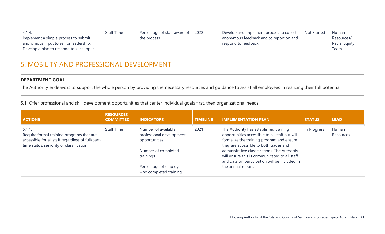| -4.1.4.<br>Implement a simple process to submit                                   | <b>Staff Time</b> | Percentage of staff aware of<br>the process | 2022 | Develop and implement process to collect<br>anonymous feedback and to report on and | <b>Not Started</b> | <b>Human</b><br>Resources/ |
|-----------------------------------------------------------------------------------|-------------------|---------------------------------------------|------|-------------------------------------------------------------------------------------|--------------------|----------------------------|
| anonymous input to senior leadership.<br>Develop a plan to respond to such input. |                   |                                             |      | respond to feedback.                                                                |                    | Racial Equity<br>Team      |

### 5. MOBILITY AND PROFESSIONAL DEVELOPMENT

#### **DEPARTMENT GOAL**

The Authority endeavors to support the whole person by providing the necessary resources and guidance to assist all employees in realizing their full potential.

5.1. Offer professional and skill development opportunities that center individual goals first, then organizational needs.

| <b>ACTIONS</b>                                                                                                                                           | <b>RESOURCES</b><br><b>COMMITTED</b> | <b>INDICATORS</b>                                                                                    | <b>TIMELINE</b> | <b>IMPLEMENTATION PLAN</b>                                                                                                                                                                                                                                                                                                         | <b>STATUS</b> | <b>LEAD</b>        |
|----------------------------------------------------------------------------------------------------------------------------------------------------------|--------------------------------------|------------------------------------------------------------------------------------------------------|-----------------|------------------------------------------------------------------------------------------------------------------------------------------------------------------------------------------------------------------------------------------------------------------------------------------------------------------------------------|---------------|--------------------|
| $5.1.1$ .<br>Require formal training programs that are<br>accessible for all staff regardless of full/part-<br>time status, seniority or classification. | <b>Staff Time</b>                    | Number of available<br>professional development<br>opportunities<br>Number of completed<br>trainings | 2021            | The Authority has established training<br>opportunities accessible to all staff but will<br>formalize the training program and ensure<br>they are accessible to both trades and<br>administrative classifications. The Authority<br>will ensure this is communicated to all staff<br>and data on participation will be included in | In Progress   | Human<br>Resources |
|                                                                                                                                                          |                                      | Percentage of employees<br>who completed training                                                    |                 | the annual report.                                                                                                                                                                                                                                                                                                                 |               |                    |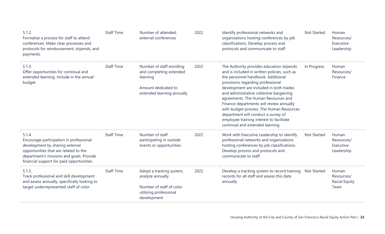| 5.1.2.<br>Formalize a process for staff to attend<br>conferences. Make clear processes and<br>protocols for reimbursement, stipends, and<br>payments.                                                                  | <b>Staff Time</b> | Number of attended,<br>external conferences                                                                           | 2022 | Identify professional networks and<br>organizations hosting conferences by job<br>classifications. Develop process and<br>protocols and communicate to staff.                                                                                                                                                                                                                                                                                                                                                     | Not Started        | Human<br>Resources/<br>Executive<br>Leadership      |
|------------------------------------------------------------------------------------------------------------------------------------------------------------------------------------------------------------------------|-------------------|-----------------------------------------------------------------------------------------------------------------------|------|-------------------------------------------------------------------------------------------------------------------------------------------------------------------------------------------------------------------------------------------------------------------------------------------------------------------------------------------------------------------------------------------------------------------------------------------------------------------------------------------------------------------|--------------------|-----------------------------------------------------|
| 5.1.3.<br>Offer opportunities for continual and<br>extended learning. Include in the annual<br>budget.                                                                                                                 | <b>Staff Time</b> | Number of staff enrolling<br>and completing extended<br>learning<br>Amount dedicated to<br>extended learning annually | 2022 | The Authority provides education stipends<br>and is included in written policies, such as<br>the personnel handbook. Additional<br>provisions regarding professional<br>development are included in both trades<br>and administrative collective bargaining<br>agreements. The Human Resources and<br>Finance departments will review annually<br>with budget process. The Human Resources<br>department will conduct a survey of<br>employee training interest to facilitate<br>continual and extended learning. | In Progress        | Human<br>Resources/<br>Finance                      |
| 5.1.4.<br>Encourage participation in professional<br>development by sharing external<br>opportunities that are related to the<br>department's missions and goals. Provide<br>financial support for paid opportunities. | <b>Staff Time</b> | Number of staff<br>participating in outside<br>events or opportunities                                                | 2022 | Work with Executive Leadership to identify<br>professional networks and organizations<br>hosting conferences by job classifications.<br>Develop process and protocols and<br>communicate to staff.                                                                                                                                                                                                                                                                                                                | Not Started        | Human<br>Resources/<br>Executive<br>Leadership      |
| 5.1.5.<br>Track professional and skill development<br>and assess annually, specifically looking to<br>target underrepresented staff of color.                                                                          | <b>Staff Time</b> | Adopt a tracking system,<br>analyze annually<br>Number of staff of color<br>utilizing professional<br>development     | 2022 | Develop a tracking system to record training<br>records for all staff and assess this data<br>annually.                                                                                                                                                                                                                                                                                                                                                                                                           | <b>Not Started</b> | Human<br>Resources/<br><b>Racial Equity</b><br>Team |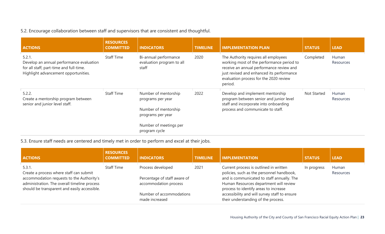#### 5.2. Encourage collaboration between staff and supervisors that are consistent and thoughtful.

| <b>ACTIONS</b>                                                                                                                        | <b>RESOURCES</b><br><b>COMMITTED</b> | <b>INDICATORS</b>                                                                      | <b>TIMELINE</b> | <b>IMPLEMENTATION PLAN</b>                                                                                                                                                                                                      | <b>STATUS</b> | <b>LEAD</b>        |
|---------------------------------------------------------------------------------------------------------------------------------------|--------------------------------------|----------------------------------------------------------------------------------------|-----------------|---------------------------------------------------------------------------------------------------------------------------------------------------------------------------------------------------------------------------------|---------------|--------------------|
| 5.2.1.<br>Develop an annual performance evaluation<br>for all staff, part-time and full-time.<br>Highlight advancement opportunities. | <b>Staff Time</b>                    | Bi-annual performance<br>evaluation program to all<br>staff                            | 2020            | The Authority requires all employees<br>working most of the performance period to<br>receive an annual performance review and<br>just revised and enhanced its performance<br>evaluation process for the 2020 review<br>period. | Completed     | Human<br>Resources |
| 5.2.2.<br>Create a mentorship program between<br>senior and junior level staff.                                                       | <b>Staff Time</b>                    | Number of mentorship<br>programs per year<br>Number of mentorship<br>programs per year | 2022            | Develop and implement mentorship<br>program between senior and junior level<br>staff and incorporate into onboarding<br>process and communicate to staff.                                                                       | Not Started   | Human<br>Resources |
|                                                                                                                                       |                                      | Number of meetings per<br>program cycle                                                |                 |                                                                                                                                                                                                                                 |               |                    |

5.3. Ensure staff needs are centered and timely met in order to perform and excel at their jobs.

| <b>ACTIONS</b>                                                                                                                            | <b>RESOURCES</b><br><b>COMMITTED</b> | <b>INDICATORS</b>                                     | <b>TIMELINE</b> | <b>IMPLEMENTATION</b>                                                                                                         | <b>STATUS</b> | <b>LEAD</b>        |
|-------------------------------------------------------------------------------------------------------------------------------------------|--------------------------------------|-------------------------------------------------------|-----------------|-------------------------------------------------------------------------------------------------------------------------------|---------------|--------------------|
| 5.3.1<br>Create a process where staff can submit                                                                                          | <b>Staff Time</b>                    | Process developed                                     | 2021            | Current process is outlined in written<br>policies, such as the personnel handbook,                                           | In progress   | Human<br>Resources |
| accommodation requests to the Authority's<br>administration. The overall timeline process<br>should be transparent and easily accessible. |                                      | Percentage of staff aware of<br>accommodation process |                 | and is communicated to staff annually. The<br>Human Resources department will review<br>process to identify areas to increase |               |                    |
|                                                                                                                                           |                                      | Number of accommodations<br>made increased            |                 | accessibility and will survey staff to ensure<br>their understanding of the process.                                          |               |                    |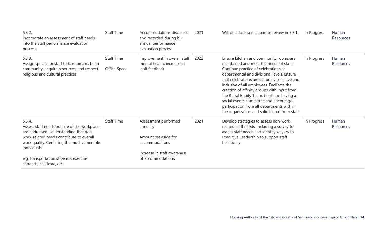| 5.3.2.<br>Incorporate an assessment of staff needs<br>into the staff performance evaluation<br>process.                                                                                                    | <b>Staff Time</b>                 | Accommodations discussed<br>and recorded during bi-<br>annual performance<br>evaluation process           | 2021 | Will be addressed as part of review in 5.3.1.                                                                                                                                                                                                                                                                                                                                                                                                                                                               | In Progress | Human<br>Resources |
|------------------------------------------------------------------------------------------------------------------------------------------------------------------------------------------------------------|-----------------------------------|-----------------------------------------------------------------------------------------------------------|------|-------------------------------------------------------------------------------------------------------------------------------------------------------------------------------------------------------------------------------------------------------------------------------------------------------------------------------------------------------------------------------------------------------------------------------------------------------------------------------------------------------------|-------------|--------------------|
| 5.3.3.<br>Assign spaces for staff to take breaks, be in<br>community, acquire resources, and respect<br>religious and cultural practices.                                                                  | <b>Staff Time</b><br>Office Space | Improvement in overall staff<br>mental health, increase in<br>staff feedback                              | 2022 | Ensure kitchen and community rooms are<br>maintained and meet the needs of staff.<br>Continue practice of celebrations at<br>departmental and divisional levels. Ensure<br>that celebrations are culturally sensitive and<br>inclusive of all employees. Facilitate the<br>creation of affinity groups with input from<br>the Racial Equity Team. Continue having a<br>social events committee and encourage<br>participation from all departments within<br>the organization and solicit input from staff. | In Progress | Human<br>Resources |
| 5.3.4.<br>Assess staff needs outside of the workplace<br>are addressed. Understanding that non-<br>work-related needs contribute to overall<br>work quality. Centering the most vulnerable<br>individuals. | <b>Staff Time</b>                 | Assessment performed<br>annually<br>Amount set aside for<br>accommodations<br>Increase in staff awareness | 2021 | Develop strategies to assess non-work-<br>related staff needs, including a survey to<br>assess staff needs and identify ways with<br>Executive Leadership to support staff<br>holistically.                                                                                                                                                                                                                                                                                                                 | In Progress | Human<br>Resources |
| e.g. transportation stipends, exercise<br>stipends, childcare, etc.                                                                                                                                        |                                   | of accommodations                                                                                         |      |                                                                                                                                                                                                                                                                                                                                                                                                                                                                                                             |             |                    |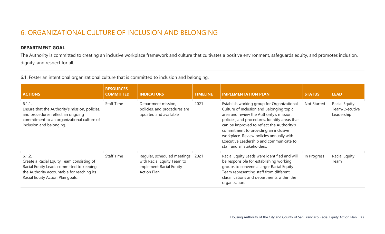### 6. ORGANIZATIONAL CULTURE OF INCLUSION AND BELONGING

#### **DEPARTMENT GOAL**

The Authority is committed to creating an inclusive workplace framework and culture that cultivates a positive environment, safeguards equity, and promotes inclusion, dignity, and respect for all.

6.1. Foster an intentional organizational culture that is committed to inclusion and belonging.

| <b>ACTIONS</b>                                                                                                                                                                    | <b>RESOURCES</b><br><b>COMMITTED</b> | <b>INDICATORS</b>                                                                                          | <b>TIMELINE</b> | <b>IMPLEMENTATION PLAN</b>                                                                                                                                                                                                                                                                                                                                                                      | <b>STATUS</b> | <b>LEAD</b>                                   |
|-----------------------------------------------------------------------------------------------------------------------------------------------------------------------------------|--------------------------------------|------------------------------------------------------------------------------------------------------------|-----------------|-------------------------------------------------------------------------------------------------------------------------------------------------------------------------------------------------------------------------------------------------------------------------------------------------------------------------------------------------------------------------------------------------|---------------|-----------------------------------------------|
| 6.1.1.<br>Ensure that the Authority's mission, policies,<br>and procedures reflect an ongoing<br>commitment to an organizational culture of<br>inclusion and belonging.           | <b>Staff Time</b>                    | Department mission,<br>policies, and procedures are<br>updated and available                               | 2021            | Establish working group for Organizational<br>Culture of Inclusion and Belonging topic<br>area and review the Authority's mission,<br>policies, and procedures. Identify areas that<br>can be improved to reflect the Authority's<br>commitment to providing an inclusive<br>workplace. Review policies annually with<br>Executive Leadership and communicate to<br>staff and all stakeholders. | Not Started   | Racial Equity<br>Team/Executive<br>Leadership |
| 6.1.2.<br>Create a Racial Equity Team consisting of<br>Racial Equity Leads committed to keeping<br>the Authority accountable for reaching its<br>Racial Equity Action Plan goals. | <b>Staff Time</b>                    | Regular, scheduled meetings<br>with Racial Equity Team to<br>implement Racial Equity<br><b>Action Plan</b> | 2021            | Racial Equity Leads were identified and will<br>be responsible for establishing working<br>groups to convene a larger Racial Equity<br>Team representing staff from different<br>classifications and departments within the<br>organization.                                                                                                                                                    | In Progress   | Racial Equity<br>Team                         |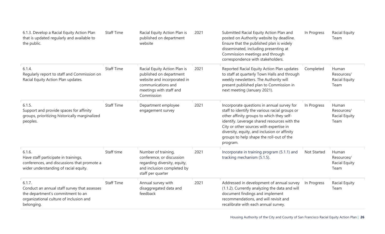| 6.1.3. Develop a Racial Equity Action Plan<br>that is updated regularly and available to<br>the public.                                              | <b>Staff Time</b> | Racial Equity Action Plan is<br>published on department<br>website                                                                                    | 2021 | Submitted Racial Equity Action Plan and<br>posted on Authority website by deadline.<br>Ensure that the published plan is widely<br>disseminated, including presenting at<br>Commission meetings and through<br>correspondence with stakeholders.                                                                                             | In Progress | Racial Equity<br>Team                               |
|------------------------------------------------------------------------------------------------------------------------------------------------------|-------------------|-------------------------------------------------------------------------------------------------------------------------------------------------------|------|----------------------------------------------------------------------------------------------------------------------------------------------------------------------------------------------------------------------------------------------------------------------------------------------------------------------------------------------|-------------|-----------------------------------------------------|
| 6.1.4.<br>Regularly report to staff and Commission on<br>Racial Equity Action Plan updates.                                                          | <b>Staff Time</b> | Racial Equity Action Plan is<br>published on department<br>website and incorporated in<br>communications and<br>meetings with staff and<br>Commission | 2021 | Reported Racial Equity Action Plan updates<br>to staff at quarterly Town Halls and through<br>weekly newsletters. The Authority will<br>present published plan to Commission in<br>next meeting (January 2021).                                                                                                                              | Completed   | Human<br>Resources/<br><b>Racial Equity</b><br>Team |
| 6.1.5.<br>Support and provide spaces for affinity<br>groups, prioritizing historically marginalized<br>peoples.                                      | <b>Staff Time</b> | Department employee<br>engagement survey                                                                                                              | 2021 | Incorporate questions in annual survey for<br>staff to identify the various racial groups or<br>other affinity groups to which they self-<br>identify. Leverage shared resources with the<br>City or other sources with expertise in<br>diversity, equity, and inclusion or affinity<br>groups to help shape the roll-out of the<br>program. | In Progress | Human<br>Resources/<br>Racial Equity<br>Team        |
| 6.1.6.<br>Have staff participate in trainings,<br>conferences, and discussions that promote a<br>wider understanding of racial equity.               | Staff time        | Number of training,<br>conference, or discussion<br>regarding diversity, equity,<br>and inclusion completed by<br>staff per quarter                   | 2021 | Incorporate in training program (5.1.1) and<br>tracking mechanism (5.1.5).                                                                                                                                                                                                                                                                   | Not Started | Human<br>Resources/<br>Racial Equity<br>Team        |
| 6.1.7.<br>Conduct an annual staff survey that assesses<br>the department's commitment to an<br>organizational culture of inclusion and<br>belonging. | <b>Staff Time</b> | Annual survey with<br>disaggregated data and<br>feedback                                                                                              | 2021 | Addressed in development of annual survey<br>(1.1.2). Currently analyzing the data and will<br>document findings and implement<br>recommendations, and will revisit and<br>recalibrate with each annual survey.                                                                                                                              | In Progress | Racial Equity<br>Team                               |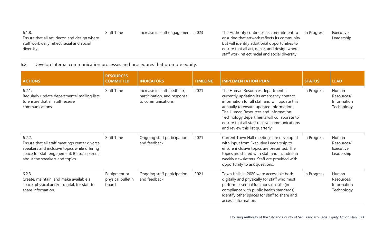| <b>Staff Time</b> |  |                                                 |                                           | Executive   |
|-------------------|--|-------------------------------------------------|-------------------------------------------|-------------|
|                   |  | ensuring that artwork reflects its community    |                                           | Leadership  |
|                   |  | but will identify additional opportunities to   |                                           |             |
|                   |  | ensure that all art, decor, and design where    |                                           |             |
|                   |  | staff work reflect racial and social diversity. |                                           |             |
|                   |  | Increase in staff engagement 2023               | The Authority continues its commitment to | In Progress |

6.2. Develop internal communication processes and procedures that promote equity.

| <b>ACTIONS</b>                                                                                                                                                                          | <b>RESOURCES</b><br><b>COMMITTED</b>       | <b>INDICATORS</b>                                                               | <b>TIMELINE</b> | <b>IMPLEMENTATION PLAN</b>                                                                                                                                                                                                                                                                                                                         | <b>STATUS</b> | <b>LEAD</b>                                      |
|-----------------------------------------------------------------------------------------------------------------------------------------------------------------------------------------|--------------------------------------------|---------------------------------------------------------------------------------|-----------------|----------------------------------------------------------------------------------------------------------------------------------------------------------------------------------------------------------------------------------------------------------------------------------------------------------------------------------------------------|---------------|--------------------------------------------------|
| 6.2.1.<br>Regularly update departmental mailing lists<br>to ensure that all staff receive<br>communications.                                                                            | <b>Staff Time</b>                          | Increase in staff feedback,<br>participation, and response<br>to communications | 2021            | The Human Resources department is<br>currently updating its emergency contact<br>information for all staff and will update this<br>annually to ensure updated information.<br>The Human Resources and Information<br>Technology departments will collaborate to<br>ensure that all staff receive communications<br>and review this list quarterly. | In Progress   | Human<br>Resources/<br>Information<br>Technology |
| 6.2.2.<br>Ensure that all staff meetings center diverse<br>speakers and inclusive topics while offering<br>space for staff engagement. Be transparent<br>about the speakers and topics. | <b>Staff Time</b>                          | Ongoing staff participation<br>and feedback                                     | 2021            | Current Town Hall meetings are developed<br>with input from Executive Leadership to<br>ensure inclusive topics are presented. The<br>topics are shared with staff and included in<br>weekly newsletters. Staff are provided with<br>opportunity to ask questions.                                                                                  | In Progress   | Human<br>Resources/<br>Executive<br>Leadership   |
| 6.2.3.<br>Create, maintain, and make available a<br>space, physical and/or digital, for staff to<br>share information.                                                                  | Equipment or<br>physical bulletin<br>board | Ongoing staff participation<br>and feedback                                     | 2021            | Town Halls in 2020 were accessible both<br>digitally and physically for staff who must<br>perform essential functions on-site (in<br>compliance with public health standards).<br>Identify other spaces for staff to share and<br>access information.                                                                                              | In Progress   | Human<br>Resources/<br>Information<br>Technology |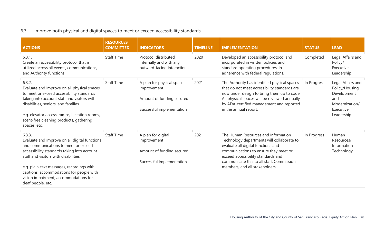#### 6.3. Improve both physical and digital spaces to meet or exceed accessibility standards.

| <b>ACTIONS</b>                                                                                                                                                                                                                                                                                                                                 | <b>RESOURCES</b><br><b>COMMITTED</b> | <b>INDICATORS</b>                                                                                  | <b>TIMELINE</b> | <b>IMPLEMENTATION</b>                                                                                                                                                                                                                                                                 | <b>STATUS</b> | <b>LEAD</b>                                                                                            |
|------------------------------------------------------------------------------------------------------------------------------------------------------------------------------------------------------------------------------------------------------------------------------------------------------------------------------------------------|--------------------------------------|----------------------------------------------------------------------------------------------------|-----------------|---------------------------------------------------------------------------------------------------------------------------------------------------------------------------------------------------------------------------------------------------------------------------------------|---------------|--------------------------------------------------------------------------------------------------------|
| 6.3.1.<br>Create an accessibility protocol that is<br>utilized across all events, communications,<br>and Authority functions.                                                                                                                                                                                                                  | <b>Staff Time</b>                    | Protocol distributed<br>internally and with any<br>outward-facing interactions                     | 2020            | Developed an accessibility protocol and<br>incorporated in written policies and<br>standard operating procedures, in<br>adherence with federal regulations.                                                                                                                           | Completed     | Legal Affairs and<br>Policy/<br>Executive<br>Leadership                                                |
| 6.3.2.<br>Evaluate and improve on all physical spaces<br>to meet or exceed accessibility standards<br>taking into account staff and visitors with<br>disabilities, seniors, and families.<br>e.g. elevator access, ramps, lactation rooms,<br>scent-free cleaning products, gathering<br>spaces, etc.                                          | <b>Staff Time</b>                    | A plan for physical space<br>improvement<br>Amount of funding secured<br>Successful implementation | 2021            | The Authority has identified physical spaces<br>that do not meet accessibility standards are<br>now under design to bring them up to code.<br>All physical spaces will be reviewed annually<br>by ADA-certified management and reported<br>in the annual report.                      | In Progress   | Legal Affairs and<br>Policy/Housing<br>Development<br>and<br>Modernization/<br>Executive<br>Leadership |
| 6.3.3.<br>Evaluate and improve on all digital functions<br>and communications to meet or exceed<br>accessibility standards taking into account<br>staff and visitors with disabilities.<br>e.g. plain-text messages, recordings with<br>captions, accommodations for people with<br>vision impairment, accommodations for<br>deaf people, etc. | <b>Staff Time</b>                    | A plan for digital<br>improvement<br>Amount of funding secured<br>Successful implementation        | 2021            | The Human Resources and Information<br>Technology departments will collaborate to<br>evaluate all digital functions and<br>communications to ensure they meet or<br>exceed accessibility standards and<br>communicate this to all staff, Commission<br>members, and all stakeholders. | In Progress   | Human<br>Resources/<br>Information<br>Technology                                                       |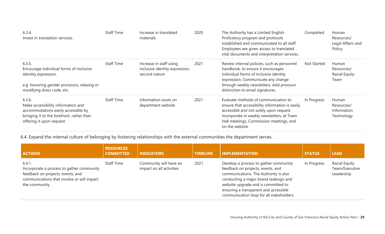| 6.3.4.<br>Invest in translation services.                                                                                                                     | <b>Staff Time</b> | Increase in translated<br>materials                                        | 2020 | The Authority has a Limited English<br>Proficiency program and protocols<br>established and communicated to all staff.<br>Employees are given access to translated<br>vital documents and interpretation services.                              | Completed   | Human<br>Resources/<br>Legal Affairs and<br>Policy  |
|---------------------------------------------------------------------------------------------------------------------------------------------------------------|-------------------|----------------------------------------------------------------------------|------|-------------------------------------------------------------------------------------------------------------------------------------------------------------------------------------------------------------------------------------------------|-------------|-----------------------------------------------------|
| 6.3.5.<br>Encourage individual forms of inclusive<br>identity expression.<br>e.g. honoring gender pronouns, relaxing or<br>modifying dress code, etc.         | <b>Staff Time</b> | Increase in staff using<br>inclusive identity expression,<br>second nature | 2021 | Review internal policies, such as personnel<br>handbook, to ensure it encourages<br>individual forms of inclusive identity<br>expression. Communicate any change<br>through weekly newsletters. Add pronoun<br>distinction to email signatures. | Not Started | Human<br>Resources/<br><b>Racial Equity</b><br>Team |
| 6.3.6.<br>Make accessibility information and<br>accommodations easily accessible by<br>bringing it to the forefront, rather than<br>offering it upon request. | <b>Staff Time</b> | Information exists on<br>department website                                | 2021 | Evaluate methods of communication to<br>ensure that accessibility information is easily<br>accessible and not solely upon request.<br>Incorporate in weekly newsletters, at Town<br>Hall meetings, Commission meetings, and<br>on the website.  | In Progress | Human<br>Resources/<br>Information<br>Technology    |

6.4. Expand the internal culture of belonging by fostering relationships with the external communities the department serves.

| <b>ACTIONS</b>                                                                                                                                           | <b>RESOURCES</b><br><b>COMMITTED</b> | <b>INDICATORS</b>                                  | <b>TIMELINE</b> | <b>IMPLEMENTATION</b>                                                                                                                                                                                                                                                                    | <b>STATUS</b> | <b>LEAD</b>                                   |
|----------------------------------------------------------------------------------------------------------------------------------------------------------|--------------------------------------|----------------------------------------------------|-----------------|------------------------------------------------------------------------------------------------------------------------------------------------------------------------------------------------------------------------------------------------------------------------------------------|---------------|-----------------------------------------------|
| 6.4.1.<br>Incorporate a process to gather community<br>feedback on projects, events, and<br>communications that involve or will impact<br>the community. | <b>Staff Time</b>                    | Community will have an<br>impact on all activities | 2021            | Develop a process to gather community<br>feedback on projects, events, and<br>communications. The Authority is also<br>conducting a major brand redesign and<br>website upgrade and is committed to<br>ensuring a transparent and accessible<br>communication loop for all stakeholders. | In Progress   | Racial Equity<br>Team/Executive<br>Leadership |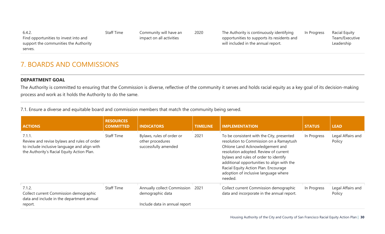| 6.4.2.<br>Find opportunities to invest into and | Staff Time | Community will have an<br>impact on all activities | 2020 | The Authority is continuously identifying<br>opportunities to supports its residents and | In Progress | Racial Equity<br>Team/Executive |
|-------------------------------------------------|------------|----------------------------------------------------|------|------------------------------------------------------------------------------------------|-------------|---------------------------------|
| support the communities the Authority           |            |                                                    |      | will included in the annual report.                                                      |             | Leadership                      |
| serves.                                         |            |                                                    |      |                                                                                          |             |                                 |

### 7. BOARDS AND COMMISSIONS

#### **DEPARTMENT GOAL**

The Authority is committed to ensuring that the Commission is diverse, reflective of the community it serves and holds racial equity as a key goal of its decision-making process and work as it holds the Authority to do the same.

7.1. Ensure a diverse and equitable board and commission members that match the community being served.

| <b>ACTIONS</b>                                                                                                                                      | <b>RESOURCES</b><br><b>COMMITTED</b> | <b>INDICATORS</b>                                                                | <b>TIMELINE</b> | <b>IMPLEMENTATION</b>                                                                                                                                                                                                                                                                                                                              | <b>STATUS</b> | <b>LEAD</b>                 |
|-----------------------------------------------------------------------------------------------------------------------------------------------------|--------------------------------------|----------------------------------------------------------------------------------|-----------------|----------------------------------------------------------------------------------------------------------------------------------------------------------------------------------------------------------------------------------------------------------------------------------------------------------------------------------------------------|---------------|-----------------------------|
| 7.1.1.<br>Review and revise bylaws and rules of order<br>to include inclusive language and align with<br>the Authority's Racial Equity Action Plan. | <b>Staff Time</b>                    | Bylaws, rules of order or<br>other procedures<br>successfully amended            | 2021            | To be consistent with the City, presented<br>resolution to Commission on a Ramaytush<br>Ohlone Land Acknowledgement and<br>resolution adopted. Review of current<br>bylaws and rules of order to identify<br>additional opportunities to align with the<br>Racial Equity Action Plan. Encourage<br>adoption of inclusive language where<br>needed. | In Progress   | Legal Affairs and<br>Policy |
| 7.1.2.<br>Collect current Commission demographic<br>data and include in the department annual<br>report.                                            | <b>Staff Time</b>                    | Annually collect Commission<br>demographic data<br>Include data in annual report | 2021            | Collect current Commission demographic<br>data and incorporate in the annual report.                                                                                                                                                                                                                                                               | In Progress   | Legal Affairs and<br>Policy |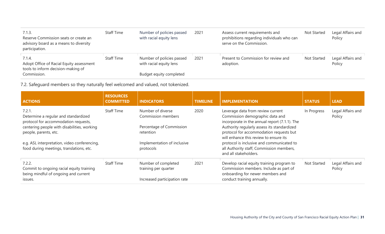| 7.1.3.<br>Reserve Commission seats or create an<br>advisory board as a means to diversity<br>participation. | <b>Staff Time</b> | Number of policies passed<br>with racial equity lens | 2021 | Assess current requirements and<br>prohibitions regarding individuals who can<br>serve on the Commission. | Not Started        | Legal Affairs and<br>Policy |
|-------------------------------------------------------------------------------------------------------------|-------------------|------------------------------------------------------|------|-----------------------------------------------------------------------------------------------------------|--------------------|-----------------------------|
| 7.1.4.<br>Adopt Office of Racial Equity assessment<br>tools to inform decision-making of                    | <b>Staff Time</b> | Number of policies passed<br>with racial equity lens | 2021 | Present to Commission for review and<br>adoption.                                                         | <b>Not Started</b> | Legal Affairs and<br>Policy |
| Commission.                                                                                                 |                   | Budget equity completed                              |      |                                                                                                           |                    |                             |

7.2. Safeguard members so they naturally feel welcomed and valued, not tokenized.

| <b>ACTIONS</b>                                                                             | <b>RESOURCES</b><br><b>COMMITTED</b> | <b>INDICATORS</b>                           | <b>TIMELINE</b> | <b>IMPLEMENTATION</b>                                                                                                            | <b>STATUS</b> | <b>LEAD</b>                 |
|--------------------------------------------------------------------------------------------|--------------------------------------|---------------------------------------------|-----------------|----------------------------------------------------------------------------------------------------------------------------------|---------------|-----------------------------|
| 7.2.1.<br>Determine a regular and standardized<br>protocol for accommodation requests,     | <b>Staff Time</b>                    | Number of diverse<br>Commission members     | 2020            | Leverage data from review current<br>Commission demographic data and<br>incorporate in the annual report (7.1.1). The            | In Progress   | Legal Affairs and<br>Policy |
| centering people with disabilities, working<br>people, parents, etc.                       |                                      | Percentage of Commission<br>retention       |                 | Authority regularly assess its standardized<br>protocol for accommodation requests but<br>will enhance this review to ensure its |               |                             |
| e.g. ASL interpretation, video conferencing,<br>food during meetings, translations, etc.   |                                      | Implementation of inclusive<br>protocols    |                 | protocol is inclusive and communicated to<br>all Authority staff, Commission members,<br>and all stakeholders.                   |               |                             |
| 7.2.2.<br>Commit to ongoing racial equity training<br>being mindful of ongoing and current | <b>Staff Time</b>                    | Number of completed<br>training per quarter | 2021            | Develop racial equity training program to<br>Commission members. Include as part of<br>onboarding for newer members and          | Not Started   | Legal Affairs and<br>Policy |
| issues.                                                                                    |                                      | Increased participation rate                |                 | conduct training annually.                                                                                                       |               |                             |